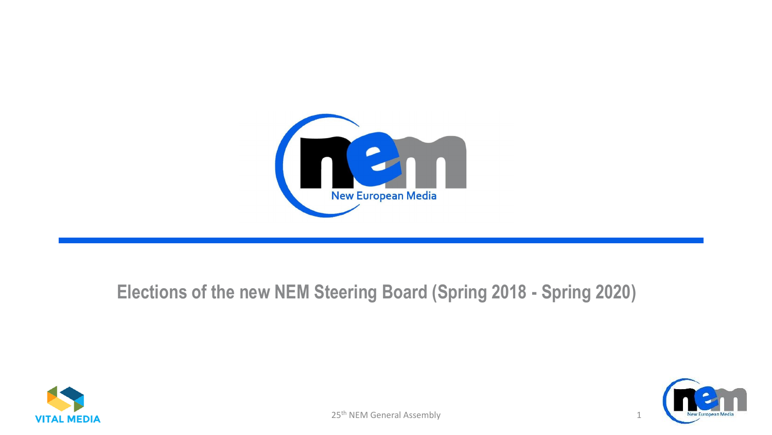

#### **Elections of the new NEM Steering Board (Spring 2018 - Spring 2020)**



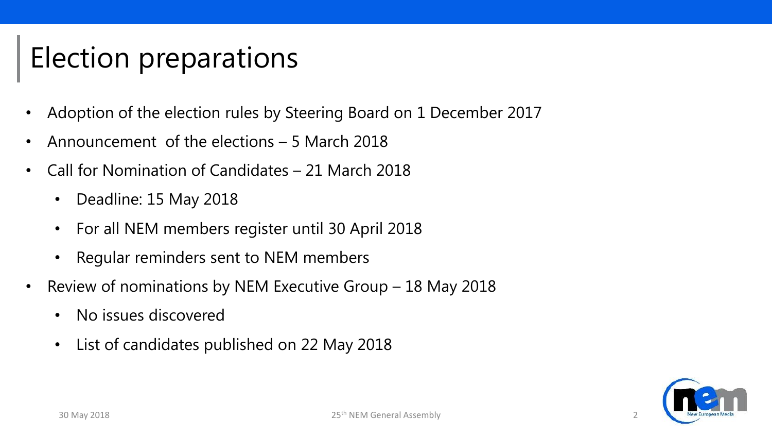# Election preparations

- Adoption of the election rules by Steering Board on 1 December 2017
- Announcement of the elections 5 March 2018
- Call for Nomination of Candidates 21 March 2018
	- Deadline: 15 May 2018
	- For all NEM members register until 30 April 2018
	- Regular reminders sent to NEM members
- Review of nominations by NEM Executive Group 18 May 2018
	- No issues discovered
	- List of candidates published on 22 May 2018

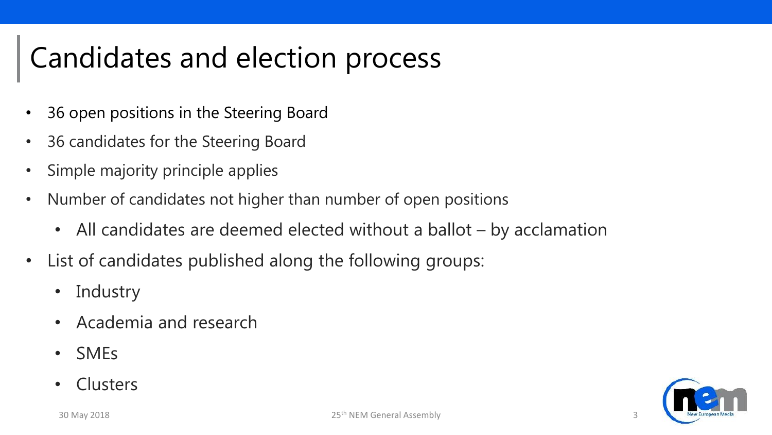### Candidates and election process

- 36 open positions in the Steering Board
- 36 candidates for the Steering Board
- Simple majority principle applies
- Number of candidates not higher than number of open positions
	- All candidates are deemed elected without a ballot by acclamation
- List of candidates published along the following groups:
	- Industry
	- Academia and research
	- SMEs
	- Clusters

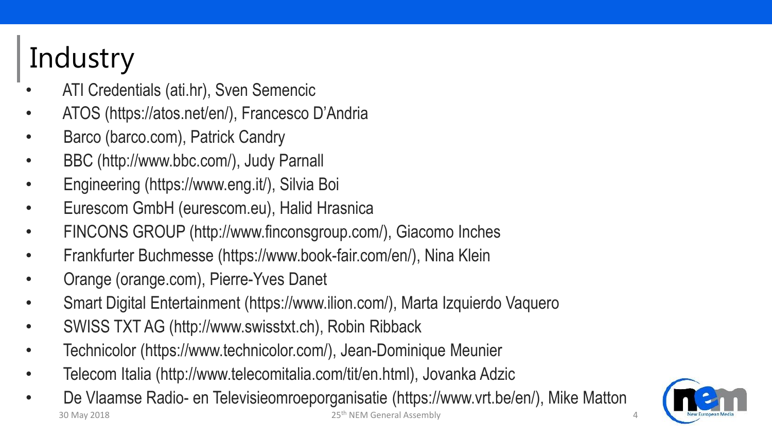# **Industry**

- ATI Credentials (ati.hr), Sven Semencic
- ATOS (https://atos.net/en/), Francesco D'Andria
- Barco (barco.com), Patrick Candry
- BBC (http://www.bbc.com/), Judy Parnall
- Engineering (https://www.eng.it/), Silvia Boi
- Eurescom GmbH (eurescom.eu), Halid Hrasnica
- FINCONS GROUP (http://www.finconsgroup.com/), Giacomo Inches
- Frankfurter Buchmesse (https://www.book-fair.com/en/), Nina Klein
- Orange (orange.com), Pierre-Yves Danet
- Smart Digital Entertainment (https://www.ilion.com/), Marta Izquierdo Vaquero
- SWISS TXT AG (http://www.swisstxt.ch), Robin Ribback
- Technicolor (https://www.technicolor.com/), Jean-Dominique Meunier
- Telecom Italia (http://www.telecomitalia.com/tit/en.html), Jovanka Adzic
- De Vlaamse Radio- en Televisieomroeporganisatie (https://www.vrt.be/en/), Mike Matton 30 May 2018 25th NEM General Assembly 4

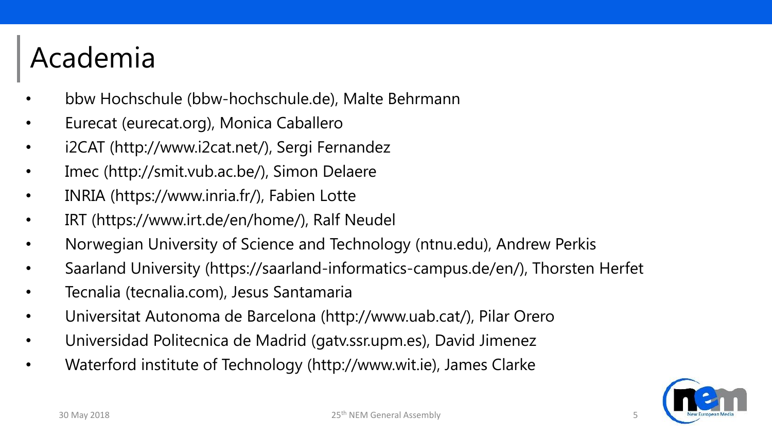# Academia

- bbw Hochschule (bbw-hochschule.de), Malte Behrmann
- Eurecat (eurecat.org), Monica Caballero
- i2CAT (http://www.i2cat.net/), Sergi Fernandez
- Imec (http://smit.vub.ac.be/), Simon Delaere
- INRIA (https://www.inria.fr/), Fabien Lotte
- IRT (https://www.irt.de/en/home/), Ralf Neudel
- Norwegian University of Science and Technology (ntnu.edu), Andrew Perkis
- Saarland University (https://saarland-informatics-campus.de/en/), Thorsten Herfet
- Tecnalia (tecnalia.com), Jesus Santamaria
- Universitat Autonoma de Barcelona (http://www.uab.cat/), Pilar Orero
- Universidad Politecnica de Madrid (gatv.ssr.upm.es), David Jimenez
- Waterford institute of Technology (http://www.wit.ie), James Clarke